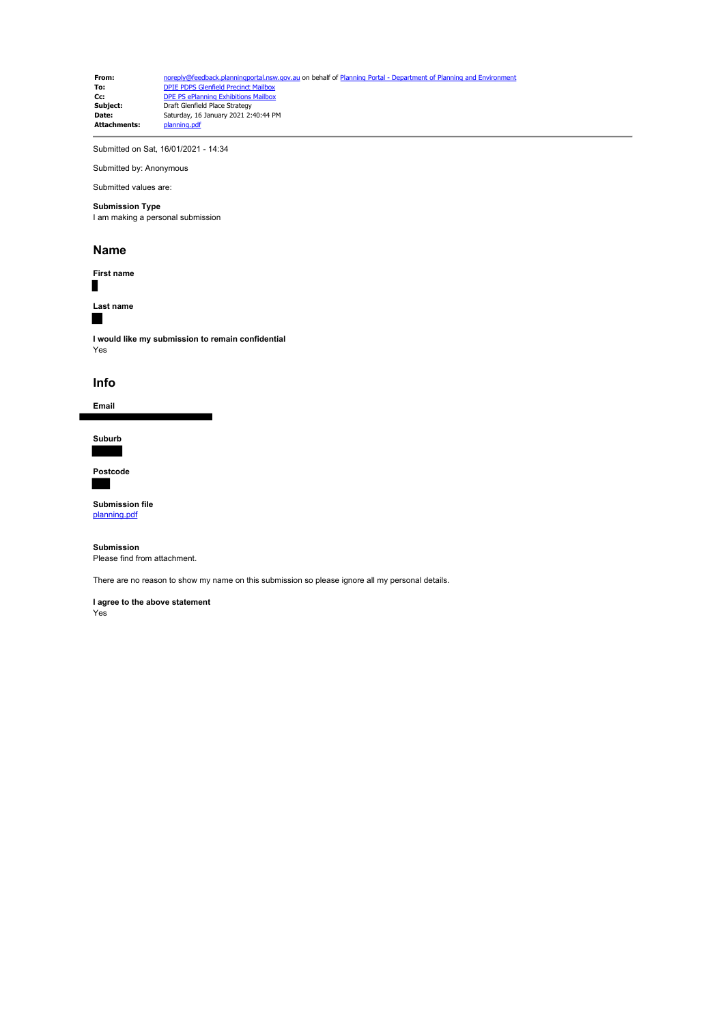**From:** [noreply@feedback.planningportal.nsw.gov.au](mailto:noreply@feedback.planningportal.nsw.gov.au) on behalf of [Planning Portal - Department of Planning and Environment](mailto:noreply@feedback.planningportal.nsw.gov.au) of Planning and Environment of Planning and Environment of Planning and Environment of Planning and E **To:** [DPIE PDPS Glenfield Precinct Mailbox](mailto:glenfield.precinct@planning.nsw.gov.au)<br> **Cc:** [DPE PS ePlanning Exhibitions Mailbox](mailto:eplanning.exhibitions@planning.nsw.gov.au) **Subject:** Draft Glenfield Place Strategy **Date:** Saturday, 16 January 2021 2:40:44 PM **Attachments:** planning.pdf

Submitted on Sat, 16/01/2021 - 14:34

Submitted by: Anonymous Submitted values are:

## **Submission Type**

I am making a personal submission

#### **Name**

**First name**

**Last name**

## Г

Г

**I would like my submission to remain confidential** Yes

### **Info**

**Email**

**Suburb**

**Postcode**

**Submission file** [planning.pdf](https://pp.planningportal.nsw.gov.au/system/files/webform/draft_plans_glenfield/116641/planning.pdf)

**Submission** Please find from attachment.

There are no reason to show my name on this submission so please ignore all my personal details.

**I agree to the above statement**

Yes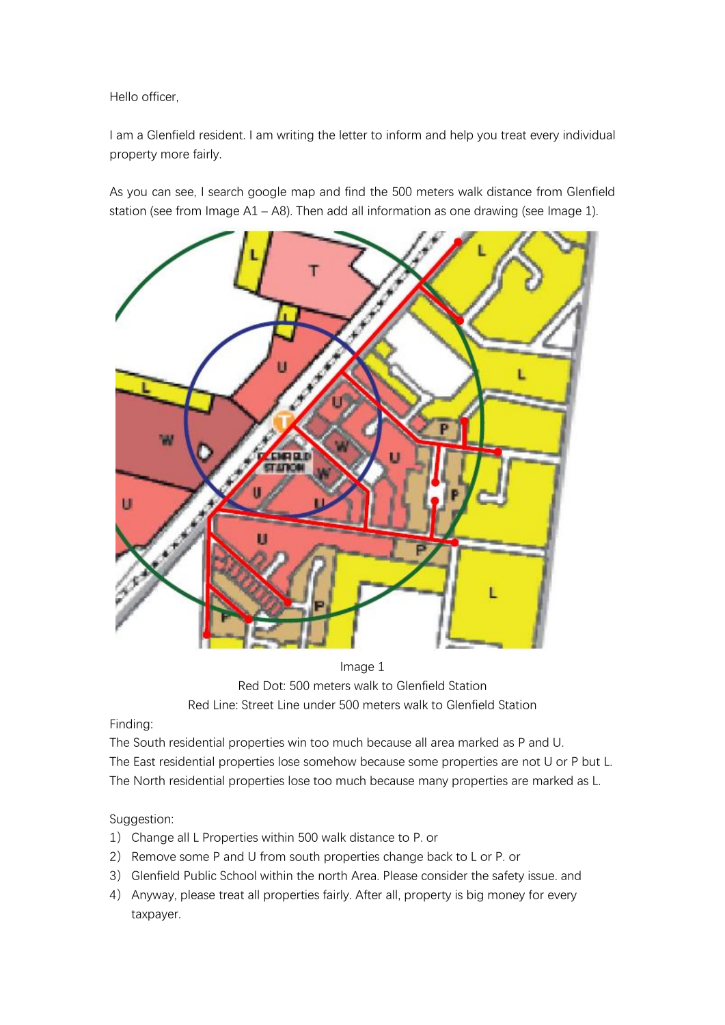Hello officer,

I am a Glenfield resident. I am writing the letter to inform and help you treat every individual property more fairly.

As you can see, I search google map and find the 500 meters walk distance from Glenfield station (see from Image A1 – A8). Then add all information as one drawing (see Image 1).



Image 1 Red Dot: 500 meters walk to Glenfield Station Red Line: Street Line under 500 meters walk to Glenfield Station

Finding:

The South residential properties win too much because all area marked as P and U. The East residential properties lose somehow because some properties are not U or P but L. The North residential properties lose too much because many properties are marked as L.

# Suggestion:

- 1) Change all L Properties within 500 walk distance to P. or
- 2) Remove some P and U from south properties change back to L or P. or
- 3) Glenfield Public School within the north Area. Please consider the safety issue. and
- 4) Anyway, please treat all properties fairly. After all, property is big money for every taxpayer.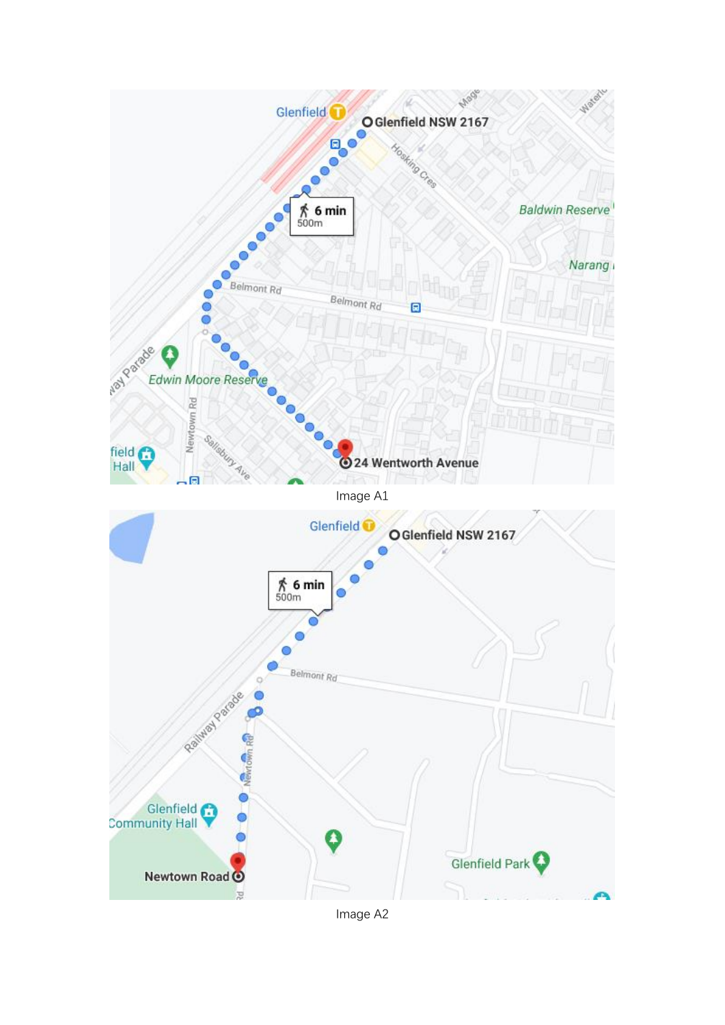

Image A2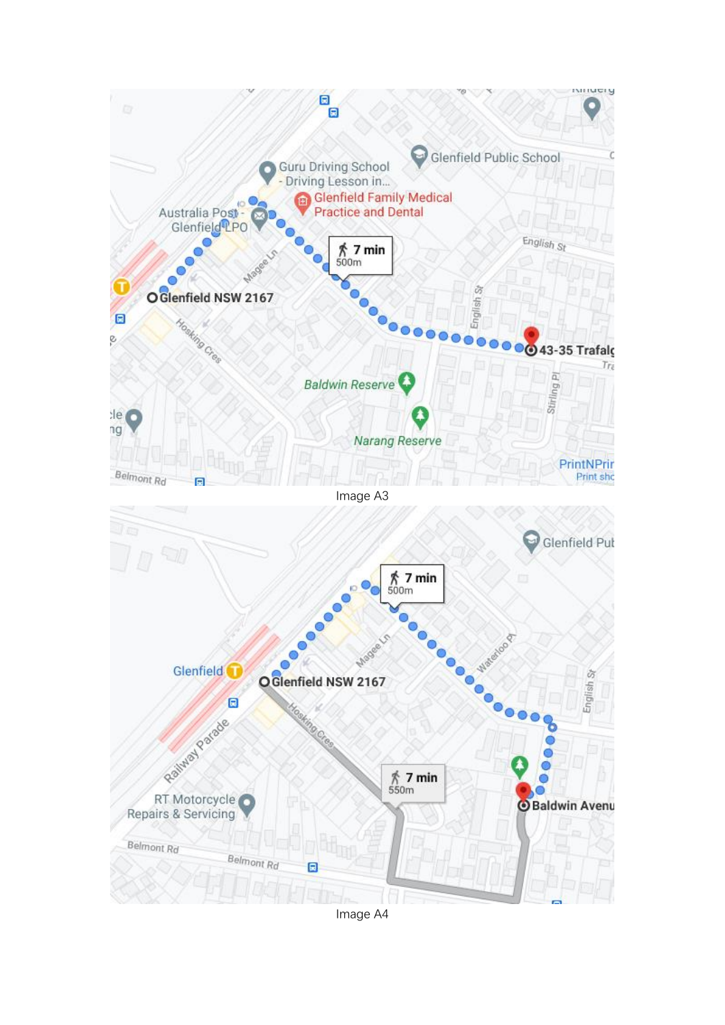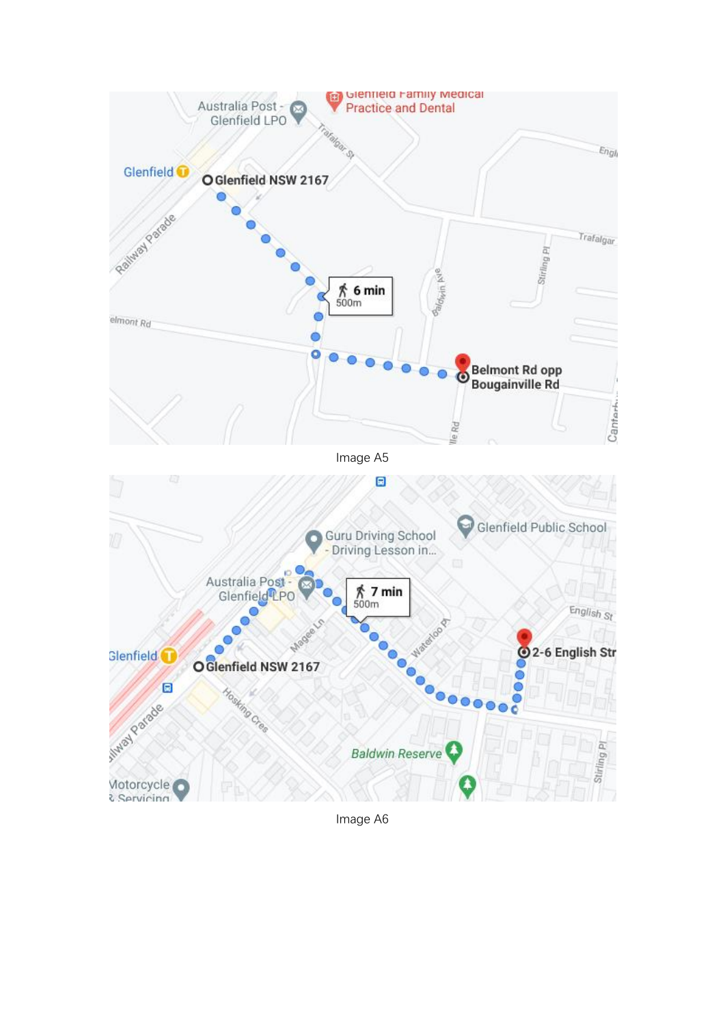

Image A6